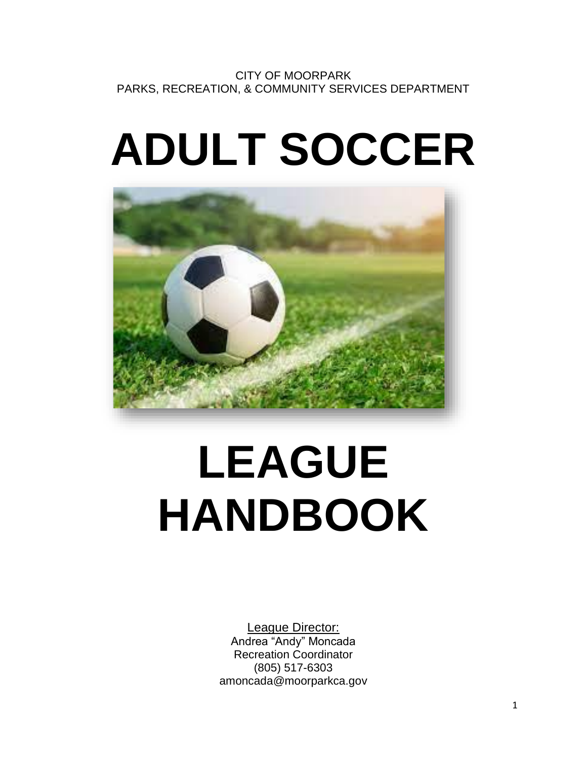# **ADULT SOCCER**



# **LEAGUE HANDBOOK**

League Director: Andrea "Andy" Moncada Recreation Coordinator (805) 517-6303 amoncada@moorparkca.gov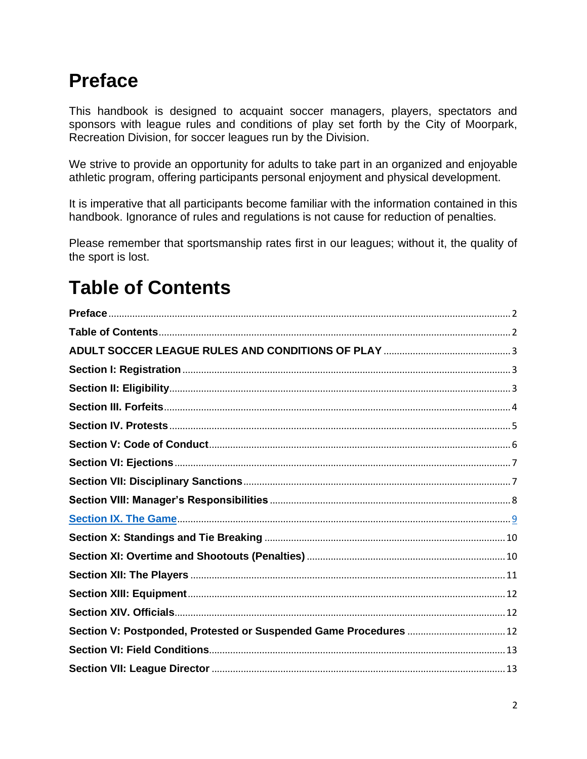### <span id="page-1-0"></span>**Preface**

This handbook is designed to acquaint soccer managers, players, spectators and sponsors with league rules and conditions of play set forth by the City of Moorpark, Recreation Division, for soccer leagues run by the Division.

We strive to provide an opportunity for adults to take part in an organized and enjoyable athletic program, offering participants personal enjoyment and physical development.

It is imperative that all participants become familiar with the information contained in this handbook. Ignorance of rules and regulations is not cause for reduction of penalties.

Please remember that sportsmanship rates first in our leagues; without it, the quality of the sport is lost.

### <span id="page-1-1"></span>**Table of Contents**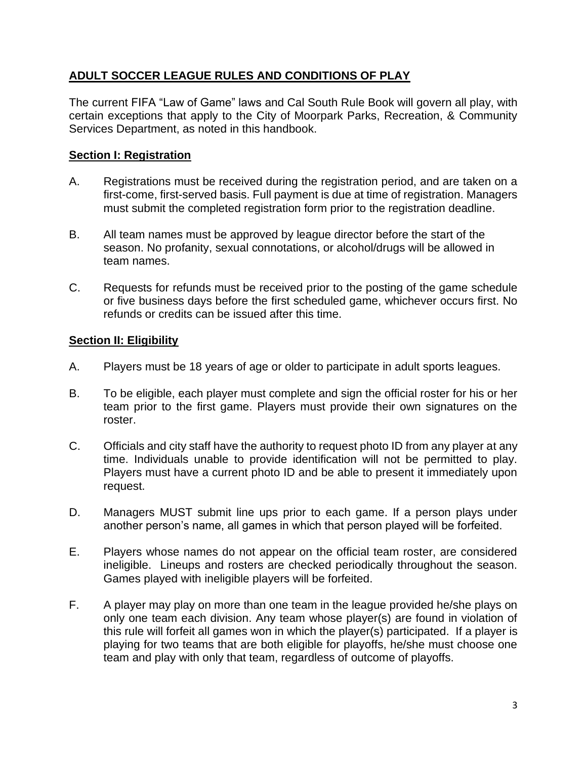#### <span id="page-2-0"></span>**ADULT SOCCER LEAGUE RULES AND CONDITIONS OF PLAY**

The current FIFA "Law of Game" laws and Cal South Rule Book will govern all play, with certain exceptions that apply to the City of Moorpark Parks, Recreation, & Community Services Department, as noted in this handbook.

#### <span id="page-2-1"></span>**Section I: Registration**

- A. Registrations must be received during the registration period, and are taken on a first-come, first-served basis. Full payment is due at time of registration. Managers must submit the completed registration form prior to the registration deadline.
- B. All team names must be approved by league director before the start of the season. No profanity, sexual connotations, or alcohol/drugs will be allowed in team names.
- C. Requests for refunds must be received prior to the posting of the game schedule or five business days before the first scheduled game, whichever occurs first. No refunds or credits can be issued after this time.

#### <span id="page-2-2"></span>**Section II: Eligibility**

- A. Players must be 18 years of age or older to participate in adult sports leagues.
- B. To be eligible, each player must complete and sign the official roster for his or her team prior to the first game. Players must provide their own signatures on the roster.
- C. Officials and city staff have the authority to request photo ID from any player at any time. Individuals unable to provide identification will not be permitted to play. Players must have a current photo ID and be able to present it immediately upon request.
- D. Managers MUST submit line ups prior to each game. If a person plays under another person's name, all games in which that person played will be forfeited.
- E. Players whose names do not appear on the official team roster, are considered ineligible. Lineups and rosters are checked periodically throughout the season. Games played with ineligible players will be forfeited.
- F. A player may play on more than one team in the league provided he/she plays on only one team each division. Any team whose player(s) are found in violation of this rule will forfeit all games won in which the player(s) participated. If a player is playing for two teams that are both eligible for playoffs, he/she must choose one team and play with only that team, regardless of outcome of playoffs.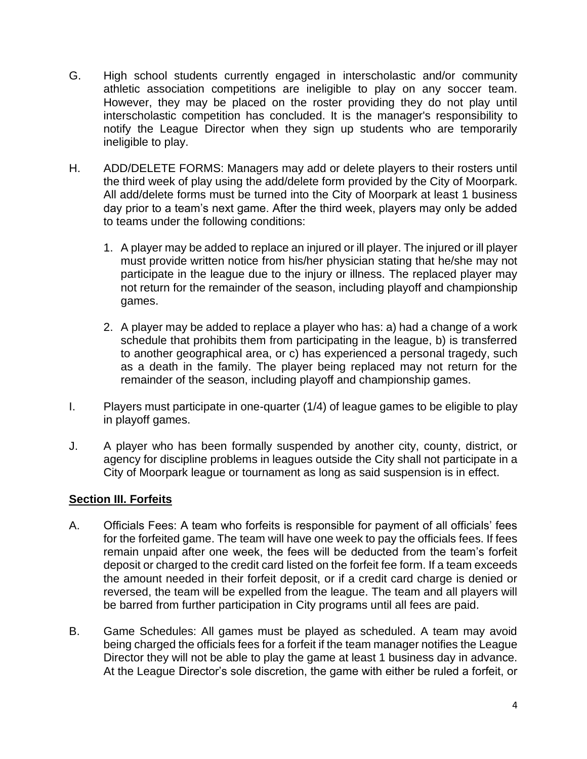- G. High school students currently engaged in interscholastic and/or community athletic association competitions are ineligible to play on any soccer team. However, they may be placed on the roster providing they do not play until interscholastic competition has concluded. It is the manager's responsibility to notify the League Director when they sign up students who are temporarily ineligible to play.
- H. ADD/DELETE FORMS: Managers may add or delete players to their rosters until the third week of play using the add/delete form provided by the City of Moorpark. All add/delete forms must be turned into the City of Moorpark at least 1 business day prior to a team's next game. After the third week, players may only be added to teams under the following conditions:
	- 1. A player may be added to replace an injured or ill player. The injured or ill player must provide written notice from his/her physician stating that he/she may not participate in the league due to the injury or illness. The replaced player may not return for the remainder of the season, including playoff and championship games.
	- 2. A player may be added to replace a player who has: a) had a change of a work schedule that prohibits them from participating in the league, b) is transferred to another geographical area, or c) has experienced a personal tragedy, such as a death in the family. The player being replaced may not return for the remainder of the season, including playoff and championship games.
- I. Players must participate in one-quarter (1/4) of league games to be eligible to play in playoff games.
- J. A player who has been formally suspended by another city, county, district, or agency for discipline problems in leagues outside the City shall not participate in a City of Moorpark league or tournament as long as said suspension is in effect.

#### <span id="page-3-0"></span>**Section III. Forfeits**

- A. Officials Fees: A team who forfeits is responsible for payment of all officials' fees for the forfeited game. The team will have one week to pay the officials fees. If fees remain unpaid after one week, the fees will be deducted from the team's forfeit deposit or charged to the credit card listed on the forfeit fee form. If a team exceeds the amount needed in their forfeit deposit, or if a credit card charge is denied or reversed, the team will be expelled from the league. The team and all players will be barred from further participation in City programs until all fees are paid.
- B. Game Schedules: All games must be played as scheduled. A team may avoid being charged the officials fees for a forfeit if the team manager notifies the League Director they will not be able to play the game at least 1 business day in advance. At the League Director's sole discretion, the game with either be ruled a forfeit, or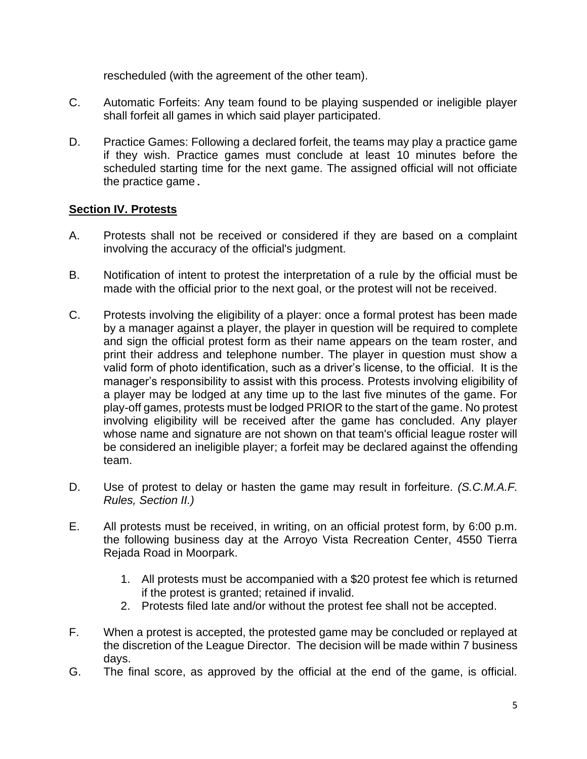rescheduled (with the agreement of the other team).

- C. Automatic Forfeits: Any team found to be playing suspended or ineligible player shall forfeit all games in which said player participated.
- D. Practice Games: Following a declared forfeit, the teams may play a practice game if they wish. Practice games must conclude at least 10 minutes before the scheduled starting time for the next game. The assigned official will not officiate the practice game.

#### <span id="page-4-0"></span>**Section IV. Protests**

- A. Protests shall not be received or considered if they are based on a complaint involving the accuracy of the official's judgment.
- B. Notification of intent to protest the interpretation of a rule by the official must be made with the official prior to the next goal, or the protest will not be received.
- C. Protests involving the eligibility of a player: once a formal protest has been made by a manager against a player, the player in question will be required to complete and sign the official protest form as their name appears on the team roster, and print their address and telephone number. The player in question must show a valid form of photo identification, such as a driver's license, to the official. It is the manager's responsibility to assist with this process. Protests involving eligibility of a player may be lodged at any time up to the last five minutes of the game. For play-off games, protests must be lodged PRIOR to the start of the game. No protest involving eligibility will be received after the game has concluded. Any player whose name and signature are not shown on that team's official league roster will be considered an ineligible player; a forfeit may be declared against the offending team.
- D. Use of protest to delay or hasten the game may result in forfeiture. *(S.C.M.A.F. Rules, Section II.)*
- E. All protests must be received, in writing, on an official protest form, by 6:00 p.m. the following business day at the Arroyo Vista Recreation Center, 4550 Tierra Rejada Road in Moorpark.
	- 1. All protests must be accompanied with a \$20 protest fee which is returned if the protest is granted; retained if invalid.
	- 2. Protests filed late and/or without the protest fee shall not be accepted.
- F. When a protest is accepted, the protested game may be concluded or replayed at the discretion of the League Director. The decision will be made within 7 business days.
- G. The final score, as approved by the official at the end of the game, is official.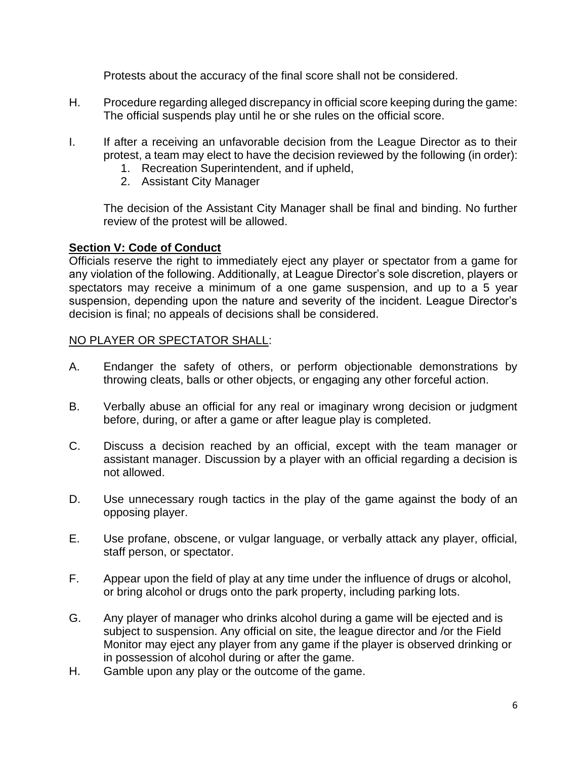Protests about the accuracy of the final score shall not be considered.

- H. Procedure regarding alleged discrepancy in official score keeping during the game: The official suspends play until he or she rules on the official score.
- I. If after a receiving an unfavorable decision from the League Director as to their protest, a team may elect to have the decision reviewed by the following (in order):
	- 1. Recreation Superintendent, and if upheld,
	- 2. Assistant City Manager

The decision of the Assistant City Manager shall be final and binding. No further review of the protest will be allowed.

#### <span id="page-5-0"></span>**Section V: Code of Conduct**

Officials reserve the right to immediately eject any player or spectator from a game for any violation of the following. Additionally, at League Director's sole discretion, players or spectators may receive a minimum of a one game suspension, and up to a 5 year suspension, depending upon the nature and severity of the incident. League Director's decision is final; no appeals of decisions shall be considered.

#### NO PLAYER OR SPECTATOR SHALL:

- A. Endanger the safety of others, or perform objectionable demonstrations by throwing cleats, balls or other objects, or engaging any other forceful action.
- B. Verbally abuse an official for any real or imaginary wrong decision or judgment before, during, or after a game or after league play is completed.
- C. Discuss a decision reached by an official, except with the team manager or assistant manager. Discussion by a player with an official regarding a decision is not allowed.
- D. Use unnecessary rough tactics in the play of the game against the body of an opposing player.
- E. Use profane, obscene, or vulgar language, or verbally attack any player, official, staff person, or spectator.
- F. Appear upon the field of play at any time under the influence of drugs or alcohol, or bring alcohol or drugs onto the park property, including parking lots.
- G. Any player of manager who drinks alcohol during a game will be ejected and is subject to suspension. Any official on site, the league director and /or the Field Monitor may eject any player from any game if the player is observed drinking or in possession of alcohol during or after the game.
- H. Gamble upon any play or the outcome of the game.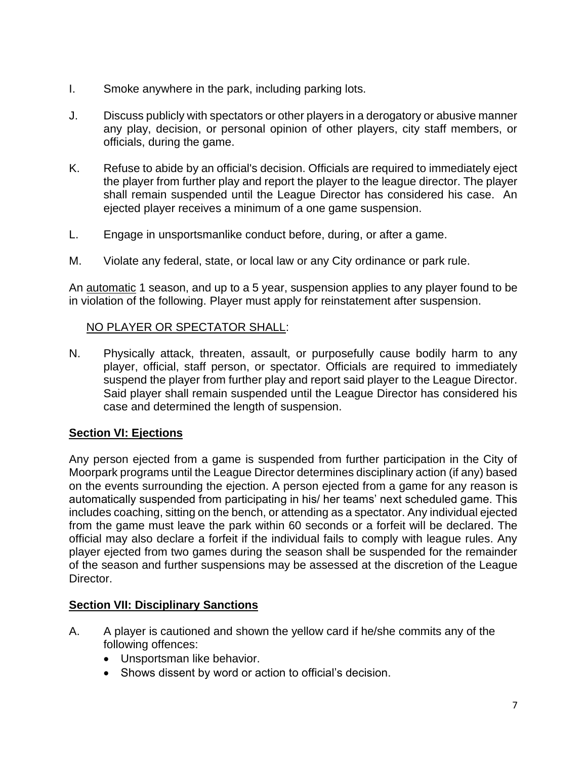- I. Smoke anywhere in the park, including parking lots.
- J. Discuss publicly with spectators or other players in a derogatory or abusive manner any play, decision, or personal opinion of other players, city staff members, or officials, during the game.
- K. Refuse to abide by an official's decision. Officials are required to immediately eject the player from further play and report the player to the league director. The player shall remain suspended until the League Director has considered his case. An ejected player receives a minimum of a one game suspension.
- L. Engage in unsportsmanlike conduct before, during, or after a game.
- M. Violate any federal, state, or local law or any City ordinance or park rule.

An automatic 1 season, and up to a 5 year, suspension applies to any player found to be in violation of the following. Player must apply for reinstatement after suspension.

#### NO PLAYER OR SPECTATOR SHALL:

N. Physically attack, threaten, assault, or purposefully cause bodily harm to any player, official, staff person, or spectator. Officials are required to immediately suspend the player from further play and report said player to the League Director. Said player shall remain suspended until the League Director has considered his case and determined the length of suspension.

#### <span id="page-6-0"></span>**Section VI: Ejections**

Any person ejected from a game is suspended from further participation in the City of Moorpark programs until the League Director determines disciplinary action (if any) based on the events surrounding the ejection. A person ejected from a game for any reason is automatically suspended from participating in his/ her teams' next scheduled game. This includes coaching, sitting on the bench, or attending as a spectator. Any individual ejected from the game must leave the park within 60 seconds or a forfeit will be declared. The official may also declare a forfeit if the individual fails to comply with league rules. Any player ejected from two games during the season shall be suspended for the remainder of the season and further suspensions may be assessed at the discretion of the League Director.

#### <span id="page-6-1"></span>**Section VII: Disciplinary Sanctions**

- A. A player is cautioned and shown the yellow card if he/she commits any of the following offences:
	- Unsportsman like behavior.
	- Shows dissent by word or action to official's decision.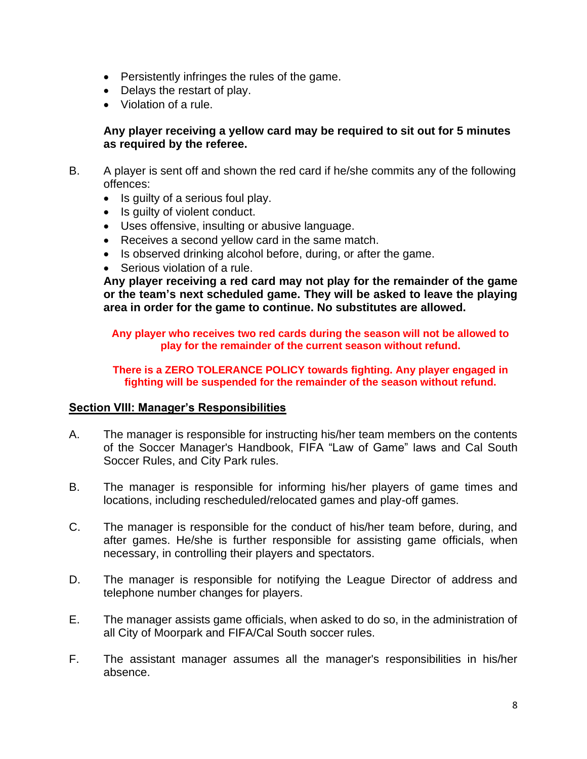- Persistently infringes the rules of the game.
- Delays the restart of play.
- Violation of a rule.

#### **Any player receiving a yellow card may be required to sit out for 5 minutes as required by the referee.**

- B. A player is sent off and shown the red card if he/she commits any of the following offences:
	- Is guilty of a serious foul play.
	- Is guilty of violent conduct.
	- Uses offensive, insulting or abusive language.
	- Receives a second yellow card in the same match.
	- Is observed drinking alcohol before, during, or after the game.
	- Serious violation of a rule.

**Any player receiving a red card may not play for the remainder of the game or the team's next scheduled game. They will be asked to leave the playing area in order for the game to continue. No substitutes are allowed.** 

**Any player who receives two red cards during the season will not be allowed to play for the remainder of the current season without refund.** 

**There is a ZERO TOLERANCE POLICY towards fighting. Any player engaged in fighting will be suspended for the remainder of the season without refund.** 

#### <span id="page-7-0"></span>**Section VIII: Manager's Responsibilities**

- A. The manager is responsible for instructing his/her team members on the contents of the Soccer Manager's Handbook, FIFA "Law of Game" laws and Cal South Soccer Rules, and City Park rules.
- B. The manager is responsible for informing his/her players of game times and locations, including rescheduled/relocated games and play-off games.
- C. The manager is responsible for the conduct of his/her team before, during, and after games. He/she is further responsible for assisting game officials, when necessary, in controlling their players and spectators.
- D. The manager is responsible for notifying the League Director of address and telephone number changes for players.
- E. The manager assists game officials, when asked to do so, in the administration of all City of Moorpark and FIFA/Cal South soccer rules.
- F. The assistant manager assumes all the manager's responsibilities in his/her absence.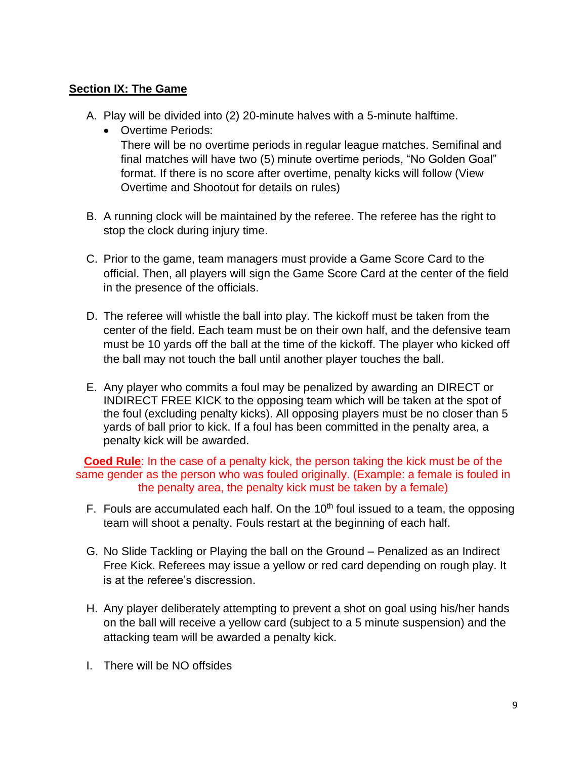#### **Section IX: The Game**

- A. Play will be divided into (2) 20-minute halves with a 5-minute halftime.
	- Overtime Periods: There will be no overtime periods in regular league matches. Semifinal and final matches will have two (5) minute overtime periods, "No Golden Goal" format. If there is no score after overtime, penalty kicks will follow (View Overtime and Shootout for details on rules)
- B. A running clock will be maintained by the referee. The referee has the right to stop the clock during injury time.
- C. Prior to the game, team managers must provide a Game Score Card to the official. Then, all players will sign the Game Score Card at the center of the field in the presence of the officials.
- D. The referee will whistle the ball into play. The kickoff must be taken from the center of the field. Each team must be on their own half, and the defensive team must be 10 yards off the ball at the time of the kickoff. The player who kicked off the ball may not touch the ball until another player touches the ball.
- E. Any player who commits a foul may be penalized by awarding an DIRECT or INDIRECT FREE KICK to the opposing team which will be taken at the spot of the foul (excluding penalty kicks). All opposing players must be no closer than 5 yards of ball prior to kick. If a foul has been committed in the penalty area, a penalty kick will be awarded.

**Coed Rule**: In the case of a penalty kick, the person taking the kick must be of the same gender as the person who was fouled originally. (Example: a female is fouled in the penalty area, the penalty kick must be taken by a female)

- F. Fouls are accumulated each half. On the  $10<sup>th</sup>$  foul issued to a team, the opposing team will shoot a penalty. Fouls restart at the beginning of each half.
- G. No Slide Tackling or Playing the ball on the Ground Penalized as an Indirect Free Kick. Referees may issue a yellow or red card depending on rough play. It is at the referee's discression.
- H. Any player deliberately attempting to prevent a shot on goal using his/her hands on the ball will receive a yellow card (subject to a 5 minute suspension) and the attacking team will be awarded a penalty kick.
- I. There will be NO offsides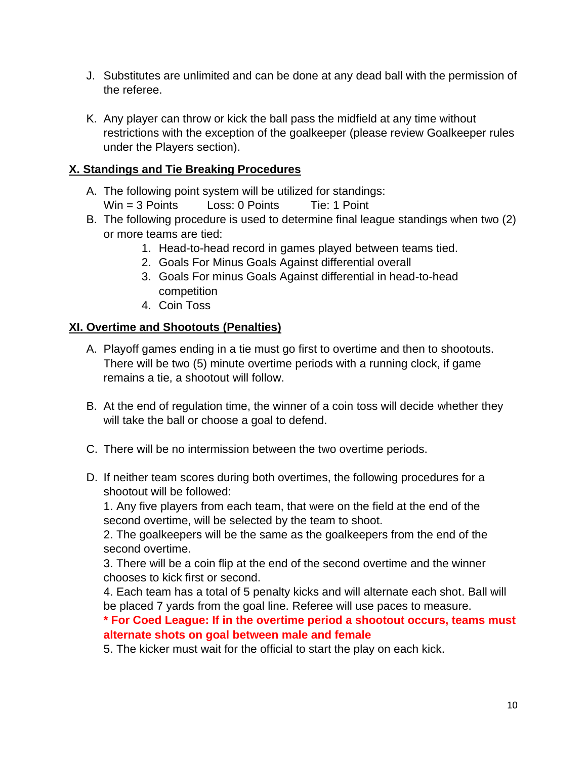- J. Substitutes are unlimited and can be done at any dead ball with the permission of the referee.
- K. Any player can throw or kick the ball pass the midfield at any time without restrictions with the exception of the goalkeeper (please review Goalkeeper rules under the Players section).

#### **X. Standings and Tie Breaking Procedures**

- A. The following point system will be utilized for standings:
	- Win = 3 Points Loss: 0 Points Tie: 1 Point
- B. The following procedure is used to determine final league standings when two (2) or more teams are tied:
	- 1. Head-to-head record in games played between teams tied.
	- 2. Goals For Minus Goals Against differential overall
	- 3. Goals For minus Goals Against differential in head-to-head competition
	- 4. Coin Toss

#### **XI. Overtime and Shootouts (Penalties)**

- A. Playoff games ending in a tie must go first to overtime and then to shootouts. There will be two (5) minute overtime periods with a running clock, if game remains a tie, a shootout will follow.
- B. At the end of regulation time, the winner of a coin toss will decide whether they will take the ball or choose a goal to defend.
- C. There will be no intermission between the two overtime periods.
- D. If neither team scores during both overtimes, the following procedures for a shootout will be followed:

1. Any five players from each team, that were on the field at the end of the second overtime, will be selected by the team to shoot.

2. The goalkeepers will be the same as the goalkeepers from the end of the second overtime.

3. There will be a coin flip at the end of the second overtime and the winner chooses to kick first or second.

4. Each team has a total of 5 penalty kicks and will alternate each shot. Ball will be placed 7 yards from the goal line. Referee will use paces to measure.

**\* For Coed League: If in the overtime period a shootout occurs, teams must alternate shots on goal between male and female** 

5. The kicker must wait for the official to start the play on each kick.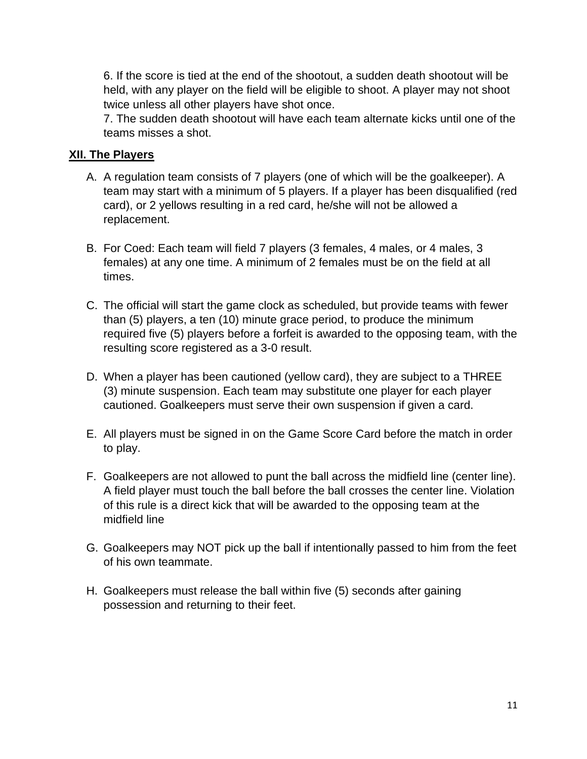6. If the score is tied at the end of the shootout, a sudden death shootout will be held, with any player on the field will be eligible to shoot. A player may not shoot twice unless all other players have shot once.

7. The sudden death shootout will have each team alternate kicks until one of the teams misses a shot.

#### **XII. The Players**

- A. A regulation team consists of 7 players (one of which will be the goalkeeper). A team may start with a minimum of 5 players. If a player has been disqualified (red card), or 2 yellows resulting in a red card, he/she will not be allowed a replacement.
- B. For Coed: Each team will field 7 players (3 females, 4 males, or 4 males, 3 females) at any one time. A minimum of 2 females must be on the field at all times.
- C. The official will start the game clock as scheduled, but provide teams with fewer than (5) players, a ten (10) minute grace period, to produce the minimum required five (5) players before a forfeit is awarded to the opposing team, with the resulting score registered as a 3-0 result.
- D. When a player has been cautioned (yellow card), they are subject to a THREE (3) minute suspension. Each team may substitute one player for each player cautioned. Goalkeepers must serve their own suspension if given a card.
- E. All players must be signed in on the Game Score Card before the match in order to play.
- F. Goalkeepers are not allowed to punt the ball across the midfield line (center line). A field player must touch the ball before the ball crosses the center line. Violation of this rule is a direct kick that will be awarded to the opposing team at the midfield line
- G. Goalkeepers may NOT pick up the ball if intentionally passed to him from the feet of his own teammate.
- H. Goalkeepers must release the ball within five (5) seconds after gaining possession and returning to their feet.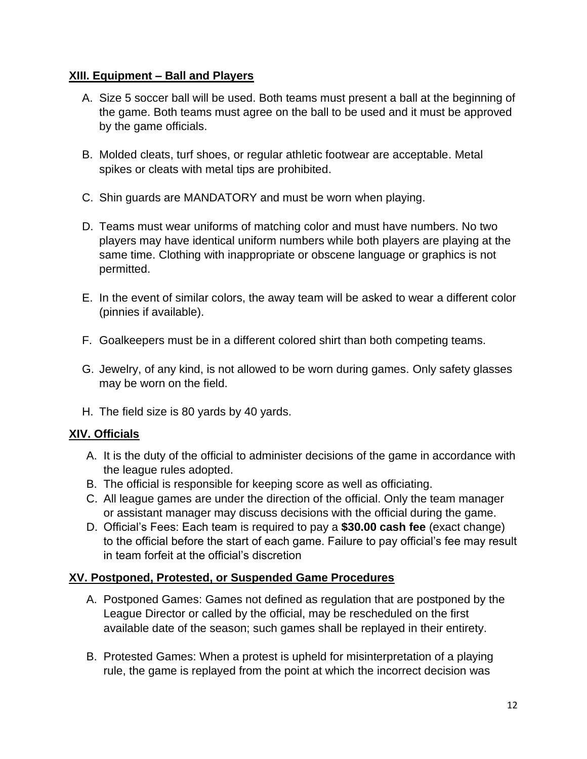#### **XIII. Equipment – Ball and Players**

- A. Size 5 soccer ball will be used. Both teams must present a ball at the beginning of the game. Both teams must agree on the ball to be used and it must be approved by the game officials.
- B. Molded cleats, turf shoes, or regular athletic footwear are acceptable. Metal spikes or cleats with metal tips are prohibited.
- C. Shin guards are MANDATORY and must be worn when playing.
- D. Teams must wear uniforms of matching color and must have numbers. No two players may have identical uniform numbers while both players are playing at the same time. Clothing with inappropriate or obscene language or graphics is not permitted.
- E. In the event of similar colors, the away team will be asked to wear a different color (pinnies if available).
- F. Goalkeepers must be in a different colored shirt than both competing teams.
- G. Jewelry, of any kind, is not allowed to be worn during games. Only safety glasses may be worn on the field.
- H. The field size is 80 yards by 40 yards.

#### **XIV. Officials**

- A. It is the duty of the official to administer decisions of the game in accordance with the league rules adopted.
- B. The official is responsible for keeping score as well as officiating.
- C. All league games are under the direction of the official. Only the team manager or assistant manager may discuss decisions with the official during the game.
- D. Official's Fees: Each team is required to pay a **\$30.00 cash fee** (exact change) to the official before the start of each game. Failure to pay official's fee may result in team forfeit at the official's discretion

#### **XV. Postponed, Protested, or Suspended Game Procedures**

- A. Postponed Games: Games not defined as regulation that are postponed by the League Director or called by the official, may be rescheduled on the first available date of the season; such games shall be replayed in their entirety.
- B. Protested Games: When a protest is upheld for misinterpretation of a playing rule, the game is replayed from the point at which the incorrect decision was